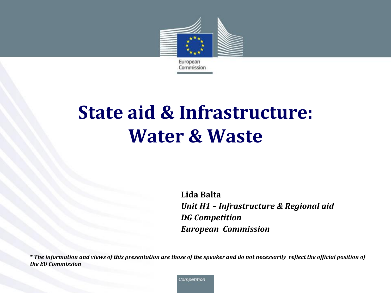

# **State aid & Infrastructure: Water & Waste**

**Lida Balta** *Unit H1 – Infrastructure & Regional aid DG Competition European Commission*

*\* The information and views of this presentation are those of the speaker and do not necessarily reflect the official position of the EU Commission*

Competition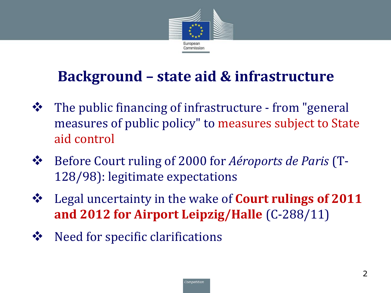

## **Background – state aid & infrastructure**

- The public financing of infrastructure from "general measures of public policy" to measures subject to State aid control
- Before Court ruling of 2000 for *Aéroports de Paris* (T-128/98): legitimate expectations
- Legal uncertainty in the wake of **Court rulings of 2011 and 2012 for Airport Leipzig/Halle** (C-288/11)
- $\mathbf{\hat{\cdot} \cdot}$  Need for specific clarifications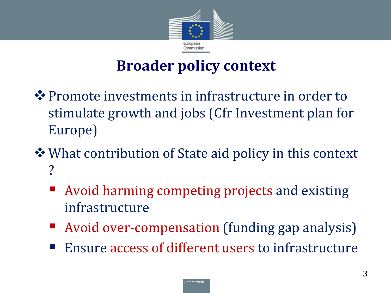

## **Broader policy context**

- $\dots$  **Promote investments in infrastructure in order to** stimulate growth and jobs (Cfr Investment plan for Europe)
- What contribution of State aid policy in this context ?
	- Avoid harming competing projects and existing infrastructure
	- Avoid over-compensation (funding gap analysis)
	- Ensure access of different users to infrastructure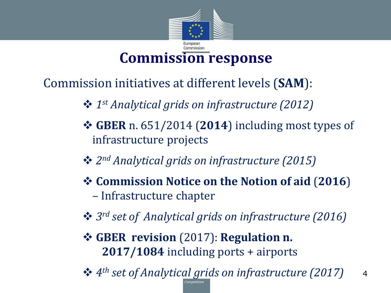

## **Commission response**

Commission initiatives at different levels (**SAM**):

- **❖** 1<sup>st</sup> Analytical grids on infrastructure (2012)
- **GBER** n. 651/2014 (**2014**) including most types of infrastructure projects
- **❖**  $2^{nd}$  *Analytical grids on infrastructure (2015)*
- **Commission Notice on the Notion of aid** (**2016**) – Infrastructure chapter
- **<sup>❖</sup>**  $3^{rd}$  *set of Analytical grids on infrastructure (2016)*
- **GBER revision** (2017): **Regulation n. 2017/1084** including ports + airports

*4 th set of Analytical grids on infrastructure (2017)* <sup>4</sup>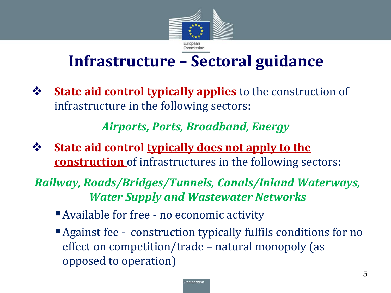

## **Infrastructure – Sectoral guidance**

 **State aid control typically applies** to the construction of infrastructure in the following sectors:

#### *Airports, Ports, Broadband, Energy*

**State aid control typically does not apply to the construction** of infrastructures in the following sectors:

#### *Railway, Roads/Bridges/Tunnels, Canals/Inland Waterways, Water Supply and Wastewater Networks*

- Available for free no economic activity
- Against fee construction typically fulfils conditions for no effect on competition/trade – natural monopoly (as opposed to operation)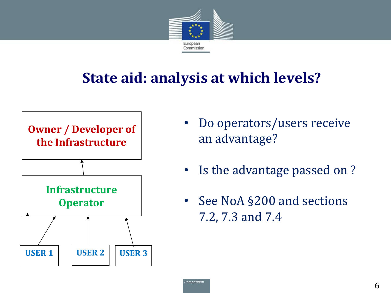

## **State aid: analysis at which levels?**



- Do operators/users receive an advantage?
- Is the advantage passed on ?
- See NoA §200 and sections 7.2, 7.3 and 7.4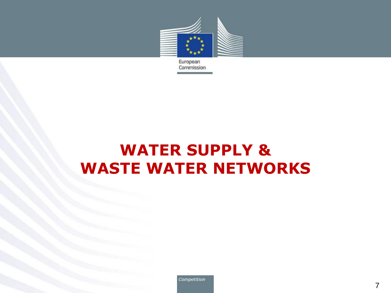

European Commission

## **WATER SUPPLY & WASTE WATER NETWORKS**

Competition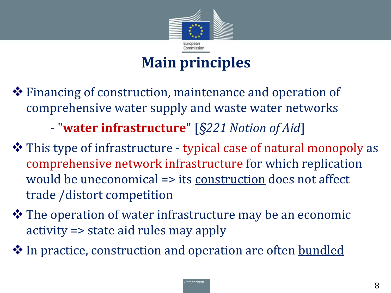

## **Main principles**

 Financing of construction, maintenance and operation of comprehensive water supply and waste water networks

- "**water infrastructure**" [*§221 Notion of Aid*]

- This type of infrastructure typical case of natural monopoly as comprehensive network infrastructure for which replication would be uneconomical => its construction does not affect trade /distort competition
- $\diamond$  **The <u>operation</u>** of water infrastructure may be an economic activity => state aid rules may apply
- $\diamondsuit$  In practice, construction and operation are often **bundled**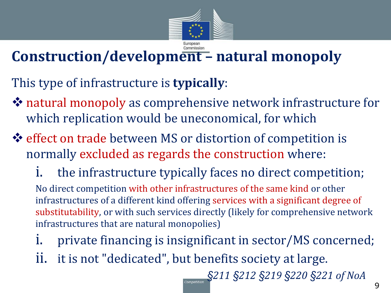

# **Construction/development – natural monopoly**

This type of infrastructure is **typically**:

- natural monopoly as comprehensive network infrastructure for which replication would be uneconomical, for which
- effect on trade between MS or distortion of competition is normally excluded as regards the construction where:
	- the infrastructure typically faces no direct competition; No direct competition with other infrastructures of the same kind or other infrastructures of a different kind offering services with a significant degree of substitutability, or with such services directly (likely for comprehensive network infrastructures that are natural monopolies)
	- i. private financing is insignificant in sector/MS concerned;
	- ii. it is not "dedicated", but benefits society at large.

*§211 §212 §219 §220 §221 of NoA*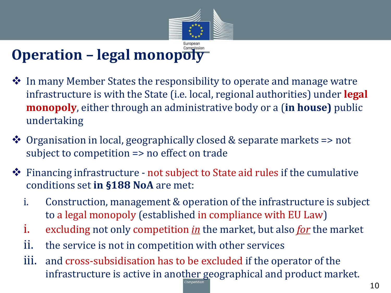

## **Operation – legal monopoly**

- $\diamond$  In many Member States the responsibility to operate and manage watre infrastructure is with the State (i.e. local, regional authorities) under **legal monopoly**, either through an administrative body or a (**in house)** public undertaking
- Organisation in local, geographically closed & separate markets => not subject to competition => no effect on trade
- Financing infrastructure not subject to State aid rules if the cumulative conditions set **in §188 NoA** are met:
	- i. Construction, management & operation of the infrastructure is subject to a legal monopoly (established in compliance with EU Law)
	- i. excluding not only competition *in* the market, but also *for* the market
	- ii. the service is not in competition with other services
	- iii. and cross-subsidisation has to be excluded if the operator of the infrastructure is active in another geographical and product market.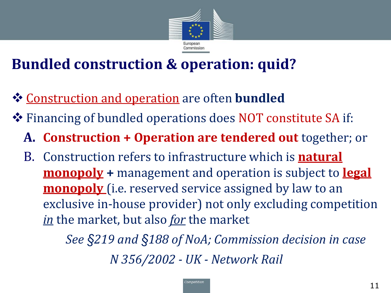

## **Bundled construction & operation: quid?**

- **❖ Construction and operation** are often **bundled**
- Financing of bundled operations does NOT constitute SA if:
	- **A. Construction + Operation are tendered out** together; or
	- B. Construction refers to infrastructure which is **natural monopoly +** management and operation is subject to **legal monopoly** (i.e. reserved service assigned by law to an exclusive in-house provider) not only excluding competition *in* the market, but also *for* the market

*See §219 and §188 of NoA; Commission decision in case N 356/2002 - UK - Network Rail*

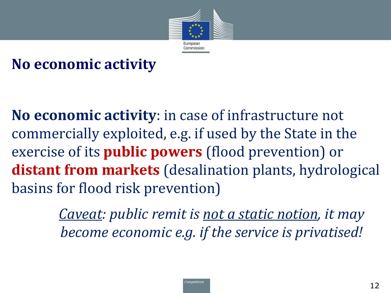

## **No economic activity**

**No economic activity**: in case of infrastructure not commercially exploited, e.g. if used by the State in the exercise of its **public powers** (flood prevention) or **distant from markets** (desalination plants, hydrological basins for flood risk prevention)

> *Caveat: public remit is not a static notion, it may become economic e.g. if the service is privatised!*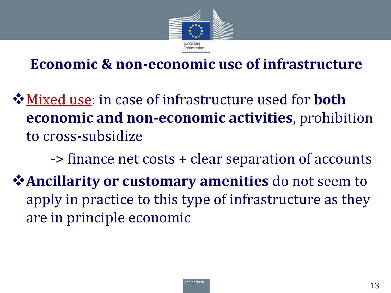

## **Economic & non-economic use of infrastructure**

- Mixed use: in case of infrastructure used for **both economic and non-economic activities**, prohibition to cross-subsidize
- -> finance net costs + clear separation of accounts **Ancillarity or customary amenities** do not seem to apply in practice to this type of infrastructure as they are in principle economic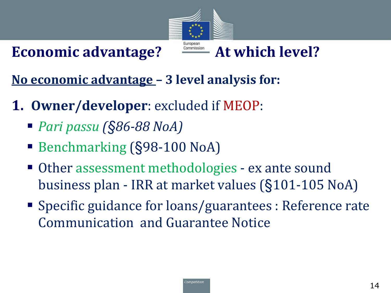### Economic advantage?  $\frac{1}{\text{Gamma}}$  At which level?



**No economic advantage – 3 level analysis for:**

- **1. Owner/developer**: excluded if MEOP:
	- *Pari passu (§86-88 NoA)*
	- Benchmarking (§98-100 NoA)
	- Other assessment methodologies ex ante sound business plan - IRR at market values (§101-105 NoA)
	- Specific guidance for loans/guarantees : Reference rate Communication and Guarantee Notice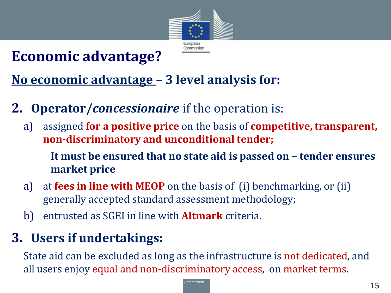

## **Economic advantage?**

#### **No economic advantage – 3 level analysis for:**

- **2. Operator/***concessionaire* if the operation is:
	- a) assigned **for a positive price** on the basis of **competitive, transparent, non-discriminatory and unconditional tender;**

**It must be ensured that no state aid is passed on – tender ensures market price**

- a) at **fees in line with MEOP** on the basis of (i) benchmarking, or (ii) generally accepted standard assessment methodology;
- b) entrusted as SGEI in line with **Altmark** criteria.

#### **3. Users if undertakings:**

State aid can be excluded as long as the infrastructure is not dedicated, and all users enjoy equal and non-discriminatory access, on market terms.

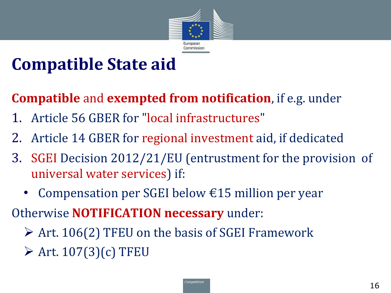

# **Compatible State aid**

### **Compatible** and **exempted from notification**, if e.g. under

- 1. Article 56 GBER for "local infrastructures"
- 2. Article 14 GBER for regional investment aid, if dedicated
- 3. SGEI Decision 2012/21/EU (entrustment for the provision of universal water services) if:
	- Compensation per SGEI below  $\epsilon$ 15 million per year
- Otherwise **NOTIFICATION necessary** under:
	- $\triangleright$  Art. 106(2) TFEU on the basis of SGEI Framework
	- $\triangleright$  Art. 107(3)(c) TFEU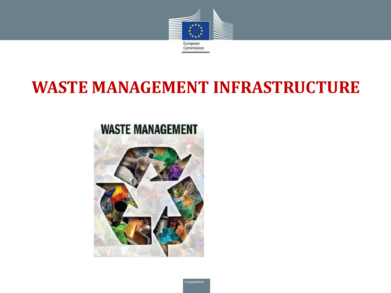

## **WASTE MANAGEMENT INFRASTRUCTURE**

#### **WASTE MANAGEMENT**

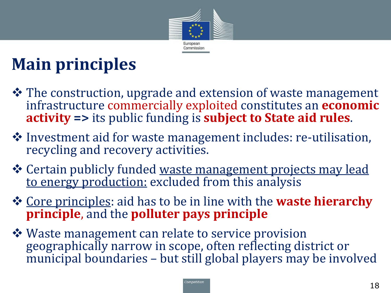

# **Main principles**

- $\dots$  The construction, upgrade and extension of waste management infrastructure commercially exploited constitutes an **economic activity =>** its public funding is **subject to State aid rules**.
- Investment aid for waste management includes: re-utilisation, recycling and recovery activities.
- Certain publicly funded waste management projects may lead to energy production: excluded from this analysis
- **☆** Core principles: aid has to be in line with the **waste hierarchy principle**, and the **polluter pays principle**
- **❖** Waste management can relate to service provision geographically narrow in scope, often reflecting district or municipal boundaries – but still global players may be involved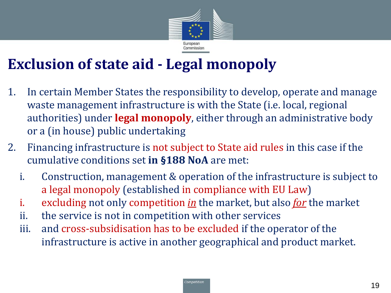

## **Exclusion of state aid - Legal monopoly**

- 1. In certain Member States the responsibility to develop, operate and manage waste management infrastructure is with the State (i.e. local, regional authorities) under **legal monopoly**, either through an administrative body or a (in house) public undertaking
- 2. Financing infrastructure is not subject to State aid rules in this case if the cumulative conditions set **in §188 NoA** are met:
	- i. Construction, management & operation of the infrastructure is subject to a legal monopoly (established in compliance with EU Law)
	- i. excluding not only competition *in* the market, but also *for* the market
	- ii. the service is not in competition with other services
	- iii. and cross-subsidisation has to be excluded if the operator of the infrastructure is active in another geographical and product market.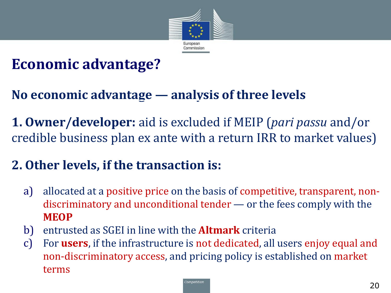

## **Economic advantage?**

#### **No economic advantage — analysis of three levels**

**1. Owner/developer:** aid is excluded if MEIP (*pari passu* and/or credible business plan ex ante with a return IRR to market values)

#### **2. Other levels, if the transaction is:**

- a) allocated at a positive price on the basis of competitive, transparent, nondiscriminatory and unconditional tender — or the fees comply with the **MEOP**
- b) entrusted as SGEI in line with the **Altmark** criteria
- c) For **users**, if the infrastructure is not dedicated, all users enjoy equal and non-discriminatory access, and pricing policy is established on market terms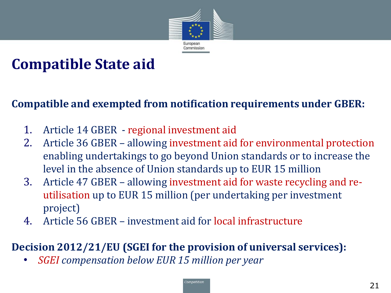

## **Compatible State aid**

#### **Compatible and exempted from notification requirements under GBER:**

- 1. Article 14 GBER regional investment aid
- 2. Article 36 GBER allowing investment aid for environmental protection enabling undertakings to go beyond Union standards or to increase the level in the absence of Union standards up to EUR 15 million
- 3. Article 47 GBER allowing investment aid for waste recycling and reutilisation up to EUR 15 million (per undertaking per investment project)
- 4. Article 56 GBER investment aid for local infrastructure

#### **Decision 2012/21/EU (SGEI for the provision of universal services):**

• *SGEI compensation below EUR 15 million per year*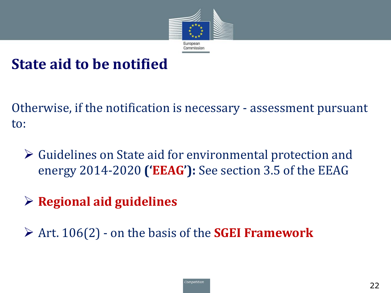

#### **State aid to be notified**

Otherwise, if the notification is necessary - assessment pursuant to:

- Guidelines on State aid for environmental protection and energy 2014-2020 **('EEAG'):** See section 3.5 of the EEAG
- **Regional aid guidelines**
- Art. 106(2) on the basis of the **SGEI Framework**